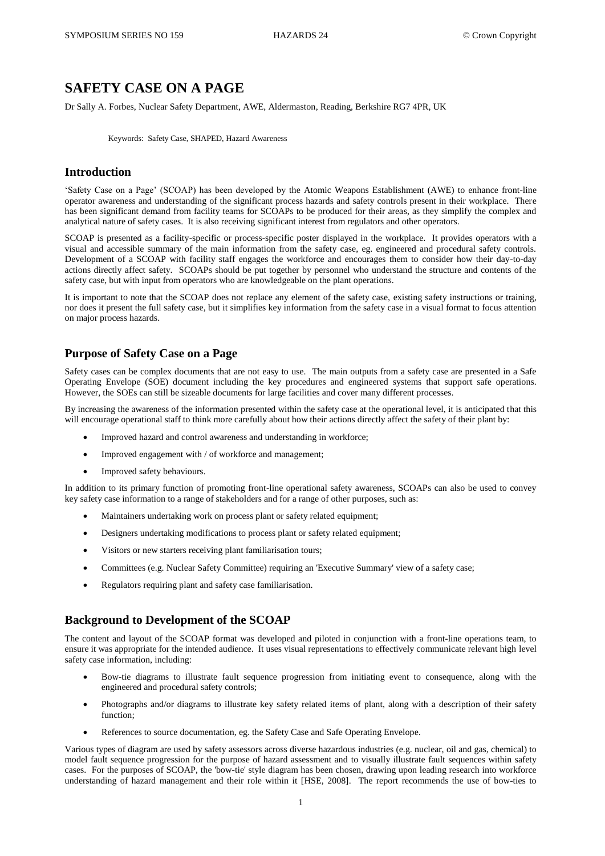# **SAFETY CASE ON A PAGE**

Dr Sally A. Forbes, Nuclear Safety Department, AWE, Aldermaston, Reading, Berkshire RG7 4PR, UK

Keywords: Safety Case, SHAPED, Hazard Awareness

## **Introduction**

'Safety Case on a Page' (SCOAP) has been developed by the Atomic Weapons Establishment (AWE) to enhance front-line operator awareness and understanding of the significant process hazards and safety controls present in their workplace. There has been significant demand from facility teams for SCOAPs to be produced for their areas, as they simplify the complex and analytical nature of safety cases. It is also receiving significant interest from regulators and other operators.

SCOAP is presented as a facility-specific or process-specific poster displayed in the workplace. It provides operators with a visual and accessible summary of the main information from the safety case, eg. engineered and procedural safety controls. Development of a SCOAP with facility staff engages the workforce and encourages them to consider how their day-to-day actions directly affect safety. SCOAPs should be put together by personnel who understand the structure and contents of the safety case, but with input from operators who are knowledgeable on the plant operations.

It is important to note that the SCOAP does not replace any element of the safety case, existing safety instructions or training, nor does it present the full safety case, but it simplifies key information from the safety case in a visual format to focus attention on major process hazards.

## **Purpose of Safety Case on a Page**

Safety cases can be complex documents that are not easy to use. The main outputs from a safety case are presented in a Safe Operating Envelope (SOE) document including the key procedures and engineered systems that support safe operations. However, the SOEs can still be sizeable documents for large facilities and cover many different processes.

By increasing the awareness of the information presented within the safety case at the operational level, it is anticipated that this will encourage operational staff to think more carefully about how their actions directly affect the safety of their plant by:

- Improved hazard and control awareness and understanding in workforce;
- Improved engagement with / of workforce and management;
- Improved safety behaviours.

In addition to its primary function of promoting front-line operational safety awareness, SCOAPs can also be used to convey key safety case information to a range of stakeholders and for a range of other purposes, such as:

- Maintainers undertaking work on process plant or safety related equipment;
- Designers undertaking modifications to process plant or safety related equipment;
- Visitors or new starters receiving plant familiarisation tours;
- Committees (e.g. Nuclear Safety Committee) requiring an 'Executive Summary' view of a safety case;
- Regulators requiring plant and safety case familiarisation.

## **Background to Development of the SCOAP**

The content and layout of the SCOAP format was developed and piloted in conjunction with a front-line operations team, to ensure it was appropriate for the intended audience. It uses visual representations to effectively communicate relevant high level safety case information, including:

- Bow-tie diagrams to illustrate fault sequence progression from initiating event to consequence, along with the engineered and procedural safety controls;
- Photographs and/or diagrams to illustrate key safety related items of plant, along with a description of their safety function;
- References to source documentation, eg. the Safety Case and Safe Operating Envelope.

Various types of diagram are used by safety assessors across diverse hazardous industries (e.g. nuclear, oil and gas, chemical) to model fault sequence progression for the purpose of hazard assessment and to visually illustrate fault sequences within safety cases. For the purposes of SCOAP, the 'bow-tie' style diagram has been chosen, drawing upon leading research into workforce understanding of hazard management and their role within it [HSE, 2008]. The report recommends the use of bow-ties to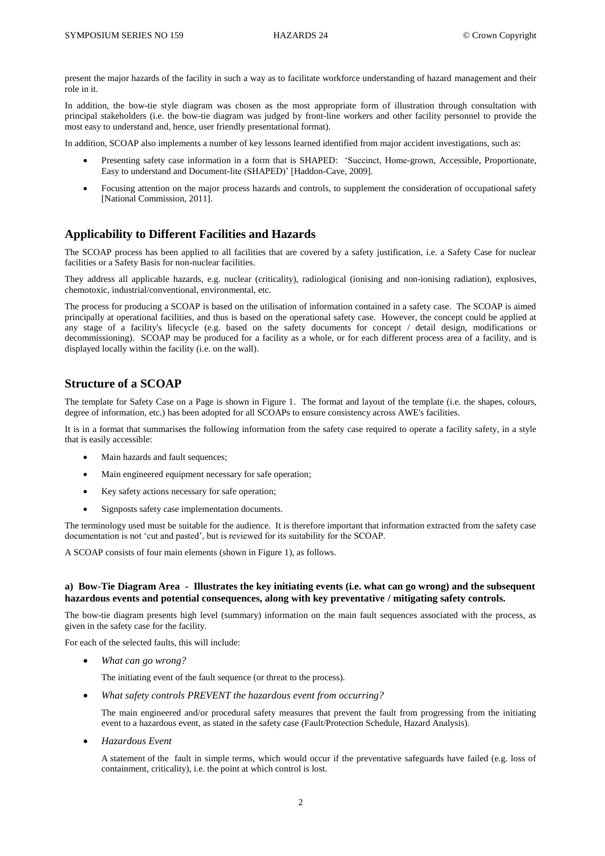present the major hazards of the facility in such a way as to facilitate workforce understanding of hazard management and their role in it.

In addition, the bow-tie style diagram was chosen as the most appropriate form of illustration through consultation with principal stakeholders (i.e. the bow-tie diagram was judged by front-line workers and other facility personnel to provide the most easy to understand and, hence, user friendly presentational format).

In addition, SCOAP also implements a number of key lessons learned identified from major accident investigations, such as:

- Presenting safety case information in a form that is SHAPED: 'Succinct, Home-grown, Accessible, Proportionate, Easy to understand and Document-lite (SHAPED)' [Haddon-Cave, 2009].
- Focusing attention on the major process hazards and controls, to supplement the consideration of occupational safety [National Commission, 2011].

## **Applicability to Different Facilities and Hazards**

The SCOAP process has been applied to all facilities that are covered by a safety justification, i.e. a Safety Case for nuclear facilities or a Safety Basis for non-nuclear facilities.

They address all applicable hazards, e.g. nuclear (criticality), radiological (ionising and non-ionising radiation), explosives, chemotoxic, industrial/conventional, environmental, etc.

The process for producing a SCOAP is based on the utilisation of information contained in a safety case. The SCOAP is aimed principally at operational facilities, and thus is based on the operational safety case. However, the concept could be applied at any stage of a facility's lifecycle (e.g. based on the safety documents for concept / detail design, modifications or decommissioning). SCOAP may be produced for a facility as a whole, or for each different process area of a facility, and is displayed locally within the facility (i.e. on the wall).

## **Structure of a SCOAP**

The template for Safety Case on a Page is shown in Figure 1. The format and layout of the template (i.e. the shapes, colours, degree of information, etc.) has been adopted for all SCOAPs to ensure consistency across AWE's facilities.

It is in a format that summarises the following information from the safety case required to operate a facility safety, in a style that is easily accessible:

- Main hazards and fault sequences;
- Main engineered equipment necessary for safe operation;
- Key safety actions necessary for safe operation;
- Signposts safety case implementation documents.

The terminology used must be suitable for the audience. It is therefore important that information extracted from the safety case documentation is not 'cut and pasted', but is reviewed for its suitability for the SCOAP.

A SCOAP consists of four main elements (shown in Figure 1), as follows.

#### **a) Bow-Tie Diagram Area - Illustrates the key initiating events (i.e. what can go wrong) and the subsequent hazardous events and potential consequences, along with key preventative / mitigating safety controls.**

The bow-tie diagram presents high level (summary) information on the main fault sequences associated with the process, as given in the safety case for the facility.

For each of the selected faults, this will include:

*What can go wrong?*

The initiating event of the fault sequence (or threat to the process).

*What safety controls PREVENT the hazardous event from occurring?*

The main engineered and/or procedural safety measures that prevent the fault from progressing from the initiating event to a hazardous event, as stated in the safety case (Fault/Protection Schedule, Hazard Analysis).

*Hazardous Event*

A statement of the fault in simple terms, which would occur if the preventative safeguards have failed (e.g. loss of containment, criticality), i.e. the point at which control is lost.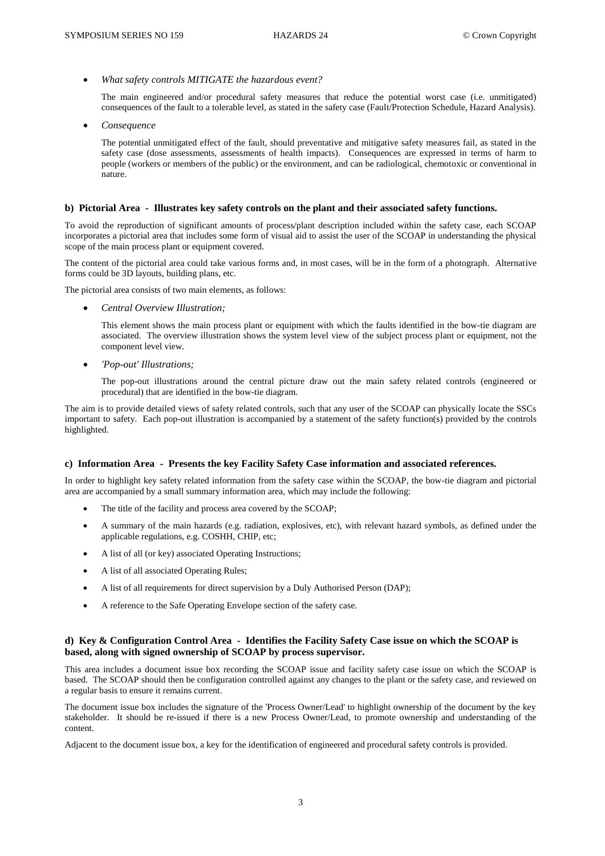*What safety controls MITIGATE the hazardous event?*

The main engineered and/or procedural safety measures that reduce the potential worst case (i.e. unmitigated) consequences of the fault to a tolerable level, as stated in the safety case (Fault/Protection Schedule, Hazard Analysis).

*Consequence*

The potential unmitigated effect of the fault, should preventative and mitigative safety measures fail, as stated in the safety case (dose assessments, assessments of health impacts). Consequences are expressed in terms of harm to people (workers or members of the public) or the environment, and can be radiological, chemotoxic or conventional in nature.

#### **b) Pictorial Area - Illustrates key safety controls on the plant and their associated safety functions.**

To avoid the reproduction of significant amounts of process/plant description included within the safety case, each SCOAP incorporates a pictorial area that includes some form of visual aid to assist the user of the SCOAP in understanding the physical scope of the main process plant or equipment covered.

The content of the pictorial area could take various forms and, in most cases, will be in the form of a photograph. Alternative forms could be 3D layouts, building plans, etc.

The pictorial area consists of two main elements, as follows:

*Central Overview Illustration;*

This element shows the main process plant or equipment with which the faults identified in the bow-tie diagram are associated. The overview illustration shows the system level view of the subject process plant or equipment, not the component level view.

*'Pop-out' Illustrations;*

The pop-out illustrations around the central picture draw out the main safety related controls (engineered or procedural) that are identified in the bow-tie diagram.

The aim is to provide detailed views of safety related controls, such that any user of the SCOAP can physically locate the SSCs important to safety. Each pop-out illustration is accompanied by a statement of the safety function(s) provided by the controls highlighted.

#### **c) Information Area - Presents the key Facility Safety Case information and associated references.**

In order to highlight key safety related information from the safety case within the SCOAP, the bow-tie diagram and pictorial area are accompanied by a small summary information area, which may include the following:

- The title of the facility and process area covered by the SCOAP;
- A summary of the main hazards (e.g. radiation, explosives, etc), with relevant hazard symbols, as defined under the applicable regulations, e.g. COSHH, CHIP, etc;
- A list of all (or key) associated Operating Instructions;
- A list of all associated Operating Rules;
- A list of all requirements for direct supervision by a Duly Authorised Person (DAP);
- A reference to the Safe Operating Envelope section of the safety case.

#### **d) Key & Configuration Control Area - Identifies the Facility Safety Case issue on which the SCOAP is based, along with signed ownership of SCOAP by process supervisor.**

This area includes a document issue box recording the SCOAP issue and facility safety case issue on which the SCOAP is based. The SCOAP should then be configuration controlled against any changes to the plant or the safety case, and reviewed on a regular basis to ensure it remains current.

The document issue box includes the signature of the 'Process Owner/Lead' to highlight ownership of the document by the key stakeholder. It should be re-issued if there is a new Process Owner/Lead, to promote ownership and understanding of the content.

Adjacent to the document issue box, a key for the identification of engineered and procedural safety controls is provided.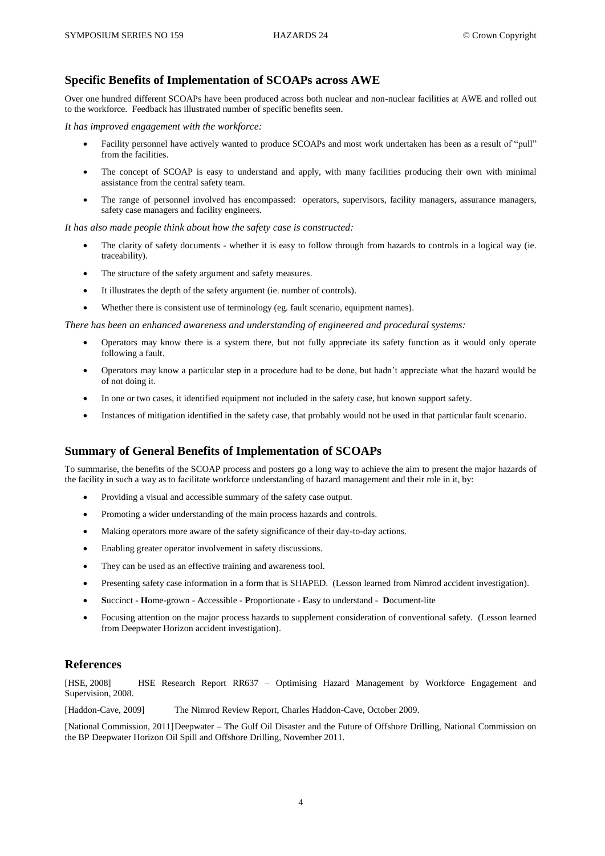## **Specific Benefits of Implementation of SCOAPs across AWE**

Over one hundred different SCOAPs have been produced across both nuclear and non-nuclear facilities at AWE and rolled out to the workforce. Feedback has illustrated number of specific benefits seen.

*It has improved engagement with the workforce:*

- Facility personnel have actively wanted to produce SCOAPs and most work undertaken has been as a result of "pull" from the facilities.
- The concept of SCOAP is easy to understand and apply, with many facilities producing their own with minimal assistance from the central safety team.
- The range of personnel involved has encompassed: operators, supervisors, facility managers, assurance managers, safety case managers and facility engineers.

*It has also made people think about how the safety case is constructed:*

- The clarity of safety documents whether it is easy to follow through from hazards to controls in a logical way (ie. traceability).
- The structure of the safety argument and safety measures.
- It illustrates the depth of the safety argument (ie. number of controls).
- Whether there is consistent use of terminology (eg. fault scenario, equipment names).

*There has been an enhanced awareness and understanding of engineered and procedural systems:*

- Operators may know there is a system there, but not fully appreciate its safety function as it would only operate following a fault.
- Operators may know a particular step in a procedure had to be done, but hadn't appreciate what the hazard would be of not doing it.
- In one or two cases, it identified equipment not included in the safety case, but known support safety.
- Instances of mitigation identified in the safety case, that probably would not be used in that particular fault scenario.

## **Summary of General Benefits of Implementation of SCOAPs**

To summarise, the benefits of the SCOAP process and posters go a long way to achieve the aim to present the major hazards of the facility in such a way as to facilitate workforce understanding of hazard management and their role in it, by:

- Providing a visual and accessible summary of the safety case output.
- Promoting a wider understanding of the main process hazards and controls.
- Making operators more aware of the safety significance of their day-to-day actions.
- Enabling greater operator involvement in safety discussions.
- They can be used as an effective training and awareness tool.
- Presenting safety case information in a form that is SHAPED. (Lesson learned from Nimrod accident investigation).
- **S**uccinct **H**ome-grown **A**ccessible **P**roportionate **E**asy to understand **D**ocument-lite
- Focusing attention on the major process hazards to supplement consideration of conventional safety. (Lesson learned from Deepwater Horizon accident investigation).

### **References**

[HSE, 2008] HSE Research Report RR637 – Optimising Hazard Management by Workforce Engagement and Supervision, 2008.

[Haddon-Cave, 2009] The Nimrod Review Report, Charles Haddon-Cave, October 2009.

[National Commission, 2011]Deepwater – The Gulf Oil Disaster and the Future of Offshore Drilling, National Commission on the BP Deepwater Horizon Oil Spill and Offshore Drilling, November 2011.